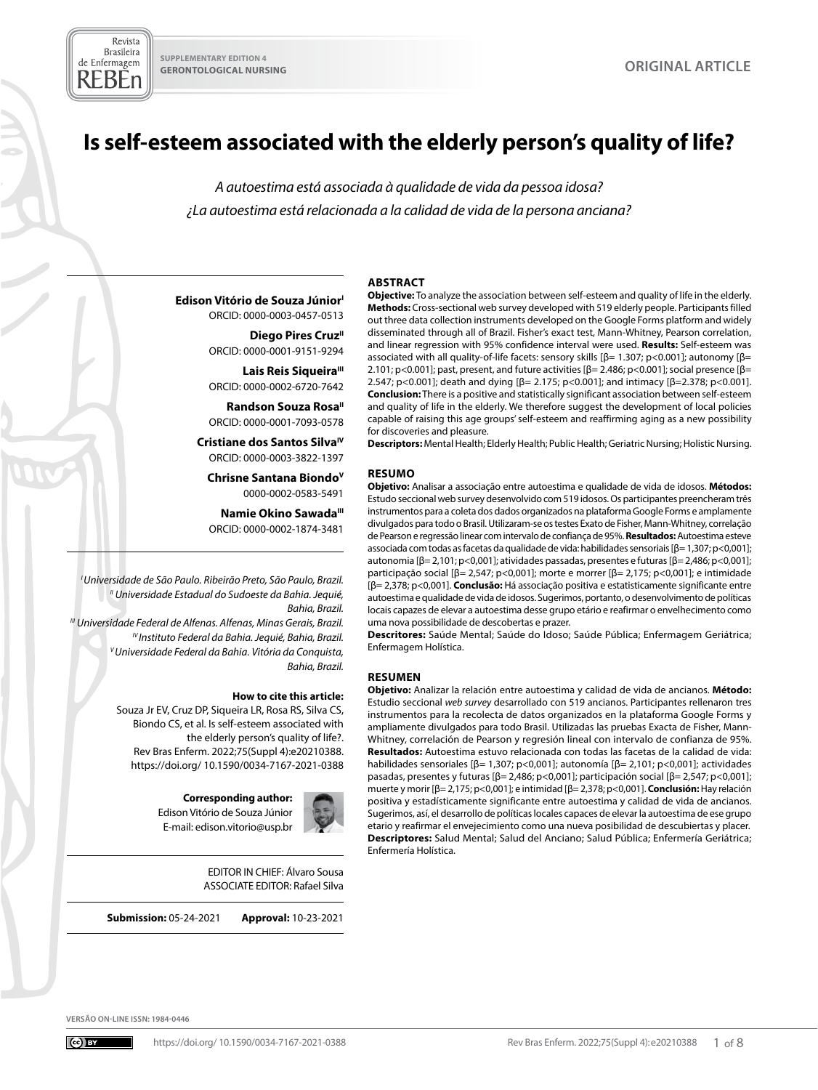# **Is self-esteem associated with the elderly person's quality of life?**

*A autoestima está associada à qualidade de vida da pessoa idosa? ¿La autoestima está relacionada a la calidad de vida de la persona anciana?*

#### **ABSTRACT**

**Edison Vitório de Souza Júnior** ORCID: 0000-0003-0457-0513

> **Diego Pires Cruz**<sup>II</sup> ORCID: 0000-0001-9151-9294

> Lais Reis Siqueira<sup>III</sup> ORCID: 0000-0002-6720-7642

> **Randson Souza Rosa**<sup>11</sup> ORCID: 0000-0001-7093-0578

**Cristiane dos Santos SilvaIV** ORCID: 0000-0003-3822-1397

**Chrisne Santana BiondoV** 0000-0002-0583-5491

**Namie Okino SawadaIII** ORCID: 0000-0002-1874-3481

*I Universidade de São Paulo. Ribeirão Preto, São Paulo, Brazil. II Universidade Estadual do Sudoeste da Bahia. Jequié, Bahia, Brazil. III Universidade Federal de Alfenas. Alfenas, Minas Gerais, Brazil.*

*IV Instituto Federal da Bahia. Jequié, Bahia, Brazil. V Universidade Federal da Bahia. Vitória da Conquista, Bahia, Brazil.*

#### **How to cite this article:**

Souza Jr EV, Cruz DP, Siqueira LR, Rosa RS, Silva CS, Biondo CS, et al. Is self-esteem associated with the elderly person's quality of life?. Rev Bras Enferm. 2022;75(Suppl 4):e20210388. [https://doi.org/ 10.1590/0034-7167-2021-0388](https://doi.org/%2010.1590/0034-7167-2021-0388)

> **Corresponding author:**  Edison Vitório de Souza Júnior E-mail: [edison.vitorio@usp.br](mailto:edison.vitorio@usp.br)



EDITOR IN CHIEF: Álvaro Sousa ASSOCIATE EDITOR: Rafael Silva

**Submission:** 05-24-2021 **Approval:** 10-23-2021

**Objective:** To analyze the association between self-esteem and quality of life in the elderly. **Methods:** Cross-sectional web survey developed with 519 elderly people. Participants filled out three data collection instruments developed on the Google Forms platform and widely disseminated through all of Brazil. Fisher's exact test, Mann-Whitney, Pearson correlation, and linear regression with 95% confidence interval were used. **Results:** Self-esteem was associated with all quality-of-life facets: sensory skills  $\beta$ = 1.307; p<0.001]; autonomy  $\beta$ = 2.101; p<0.001]; past, present, and future activities [β= 2.486; p<0.001]; social presence [β= 2.547; p<0.001]; death and dying [β= 2.175; p<0.001]; and intimacy [β=2.378; p<0.001]. **Conclusion:** There is a positive and statistically significant association between self-esteem and quality of life in the elderly. We therefore suggest the development of local policies capable of raising this age groups' self-esteem and reaffirming aging as a new possibility for discoveries and pleasure.

**Descriptors:** Mental Health; Elderly Health; Public Health; Geriatric Nursing; Holistic Nursing.

#### **RESUMO**

**Objetivo:** Analisar a associação entre autoestima e qualidade de vida de idosos. **Métodos:**  Estudo seccional web survey desenvolvido com 519 idosos. Os participantes preencheram três instrumentos para a coleta dos dados organizados na plataforma Google Forms e amplamente divulgados para todo o Brasil. Utilizaram-se os testes Exato de Fisher, Mann-Whitney, correlação de Pearson e regressão linear com intervalo de confiança de 95%. **Resultados:** Autoestima esteve associada com todas as facetas da qualidade de vida: habilidades sensoriais [β= 1,307; p<0,001]; autonomia [β= 2,101; p<0,001]; atividades passadas, presentes e futuras [β= 2,486; p<0,001]; participação social [β= 2,547; p<0,001]; morte e morrer [β= 2,175; p<0,001]; e intimidade [β= 2,378; p<0,001]. **Conclusão:** Há associação positiva e estatisticamente significante entre autoestima e qualidade de vida de idosos. Sugerimos, portanto, o desenvolvimento de políticas locais capazes de elevar a autoestima desse grupo etário e reafirmar o envelhecimento como uma nova possibilidade de descobertas e prazer.

**Descritores:** Saúde Mental; Saúde do Idoso; Saúde Pública; Enfermagem Geriátrica; Enfermagem Holística.

#### **RESUMEN**

**Objetivo:** Analizar la relación entre autoestima y calidad de vida de ancianos. **Método:**  Estudio seccional *web survey* desarrollado con 519 ancianos. Participantes rellenaron tres instrumentos para la recolecta de datos organizados en la plataforma Google Forms y ampliamente divulgados para todo Brasil. Utilizadas las pruebas Exacta de Fisher, Mann-Whitney, correlación de Pearson y regresión lineal con intervalo de confianza de 95%. **Resultados:** Autoestima estuvo relacionada con todas las facetas de la calidad de vida: habilidades sensoriales [β= 1,307; p<0,001]; autonomía [β= 2,101; p<0,001]; actividades pasadas, presentes y futuras [β= 2,486; p<0,001]; participación social [β= 2,547; p<0,001]; muerte y morir [β= 2,175; p<0,001]; e intimidad [β= 2,378; p<0,001]. **Conclusión:** Hay relación positiva y estadísticamente significante entre autoestima y calidad de vida de ancianos. Sugerimos, así, el desarrollo de políticas locales capaces de elevar la autoestima de ese grupo etario y reafirmar el envejecimiento como una nueva posibilidad de descubiertas y placer. **Descriptores:** Salud Mental; Salud del Anciano; Salud Pública; Enfermería Geriátrica; Enfermería Holística.

**VERSÃO ON-LINE ISSN: 1984-0446**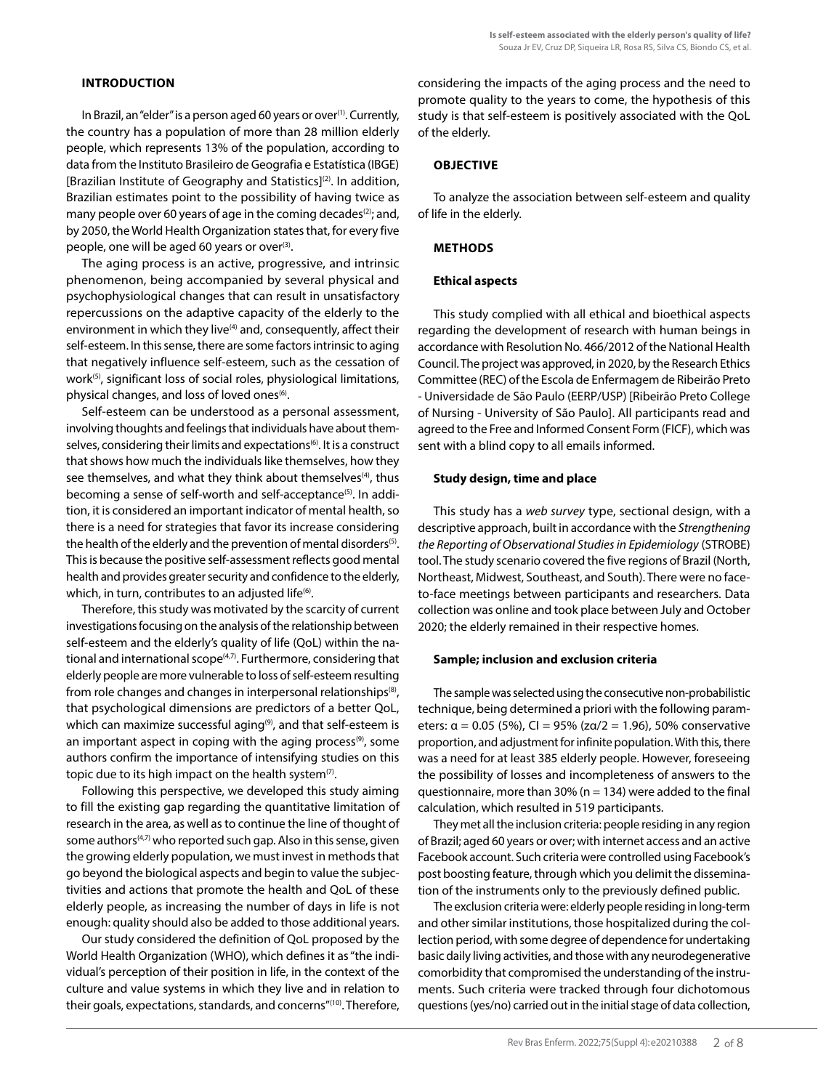# **INTRODUCTION**

In Brazil, an "elder" is a person aged 60 years or over<sup>(1)</sup>. Currently, the country has a population of more than 28 million elderly people, which represents 13% of the population, according to data from the Instituto Brasileiro de Geografia e Estatística (IBGE) [Brazilian Institute of Geography and Statistics](2). In addition, Brazilian estimates point to the possibility of having twice as many people over 60 years of age in the coming decades $(2)$ ; and, by 2050, the World Health Organization states that, for every five people, one will be aged 60 years or over<sup>(3)</sup>.

The aging process is an active, progressive, and intrinsic phenomenon, being accompanied by several physical and psychophysiological changes that can result in unsatisfactory repercussions on the adaptive capacity of the elderly to the environment in which they live<sup>(4)</sup> and, consequently, affect their self-esteem. In this sense, there are some factors intrinsic to aging that negatively influence self-esteem, such as the cessation of work<sup>(5)</sup>, significant loss of social roles, physiological limitations, physical changes, and loss of loved ones<sup>(6)</sup>.

Self-esteem can be understood as a personal assessment, involving thoughts and feelings that individuals have about themselves, considering their limits and expectations<sup>(6)</sup>. It is a construct that shows how much the individuals like themselves, how they see themselves, and what they think about themselves<sup>(4)</sup>, thus becoming a sense of self-worth and self-acceptance<sup>(5)</sup>. In addition, it is considered an important indicator of mental health, so there is a need for strategies that favor its increase considering the health of the elderly and the prevention of mental disorders<sup>(5)</sup>. This is because the positive self-assessment reflects good mental health and provides greater security and confidence to the elderly, which, in turn, contributes to an adjusted life<sup>(6)</sup>.

Therefore, this study was motivated by the scarcity of current investigations focusing on the analysis of the relationship between self-esteem and the elderly's quality of life (QoL) within the national and international scope<sup>(4,7)</sup>. Furthermore, considering that elderly people are more vulnerable to loss of self-esteem resulting from role changes and changes in interpersonal relationships<sup>(8)</sup>, that psychological dimensions are predictors of a better QoL, which can maximize successful aging<sup>(9)</sup>, and that self-esteem is an important aspect in coping with the aging process<sup>(9)</sup>, some authors confirm the importance of intensifying studies on this topic due to its high impact on the health system $(7)$ .

Following this perspective, we developed this study aiming to fill the existing gap regarding the quantitative limitation of research in the area, as well as to continue the line of thought of some authors<sup>(4,7)</sup> who reported such gap. Also in this sense, given the growing elderly population, we must invest in methods that go beyond the biological aspects and begin to value the subjectivities and actions that promote the health and QoL of these elderly people, as increasing the number of days in life is not enough: quality should also be added to those additional years.

Our study considered the definition of QoL proposed by the World Health Organization (WHO), which defines it as "the individual's perception of their position in life, in the context of the culture and value systems in which they live and in relation to their goals, expectations, standards, and concerns"(10). Therefore, considering the impacts of the aging process and the need to promote quality to the years to come, the hypothesis of this study is that self-esteem is positively associated with the QoL of the elderly.

# **OBJECTIVE**

To analyze the association between self-esteem and quality of life in the elderly.

# **METHODS**

## **Ethical aspects**

This study complied with all ethical and bioethical aspects regarding the development of research with human beings in accordance with Resolution No. 466/2012 of the National Health Council. The project was approved, in 2020, by the Research Ethics Committee (REC) of the Escola de Enfermagem de Ribeirão Preto - Universidade de São Paulo (EERP/USP) [Ribeirão Preto College of Nursing - University of São Paulo]. All participants read and agreed to the Free and Informed Consent Form (FICF), which was sent with a blind copy to all emails informed.

## **Study design, time and place**

This study has a *web survey* type, sectional design, with a descriptive approach, built in accordance with the *Strengthening the Reporting of Observational Studies in Epidemiology* (STROBE) tool. The study scenario covered the five regions of Brazil (North, Northeast, Midwest, Southeast, and South). There were no faceto-face meetings between participants and researchers. Data collection was online and took place between July and October 2020; the elderly remained in their respective homes.

## **Sample; inclusion and exclusion criteria**

The sample was selected using the consecutive non-probabilistic technique, being determined a priori with the following parameters:  $\alpha = 0.05$  (5%), CI = 95% (zα/2 = 1.96), 50% conservative proportion, and adjustment for infinite population. With this, there was a need for at least 385 elderly people. However, foreseeing the possibility of losses and incompleteness of answers to the questionnaire, more than 30% ( $n = 134$ ) were added to the final calculation, which resulted in 519 participants.

They met all the inclusion criteria: people residing in any region of Brazil; aged 60 years or over; with internet access and an active Facebook account. Such criteria were controlled using Facebook's post boosting feature, through which you delimit the dissemination of the instruments only to the previously defined public.

The exclusion criteria were: elderly people residing in long-term and other similar institutions, those hospitalized during the collection period, with some degree of dependence for undertaking basic daily living activities, and those with any neurodegenerative comorbidity that compromised the understanding of the instruments. Such criteria were tracked through four dichotomous questions (yes/no) carried out in the initial stage of data collection,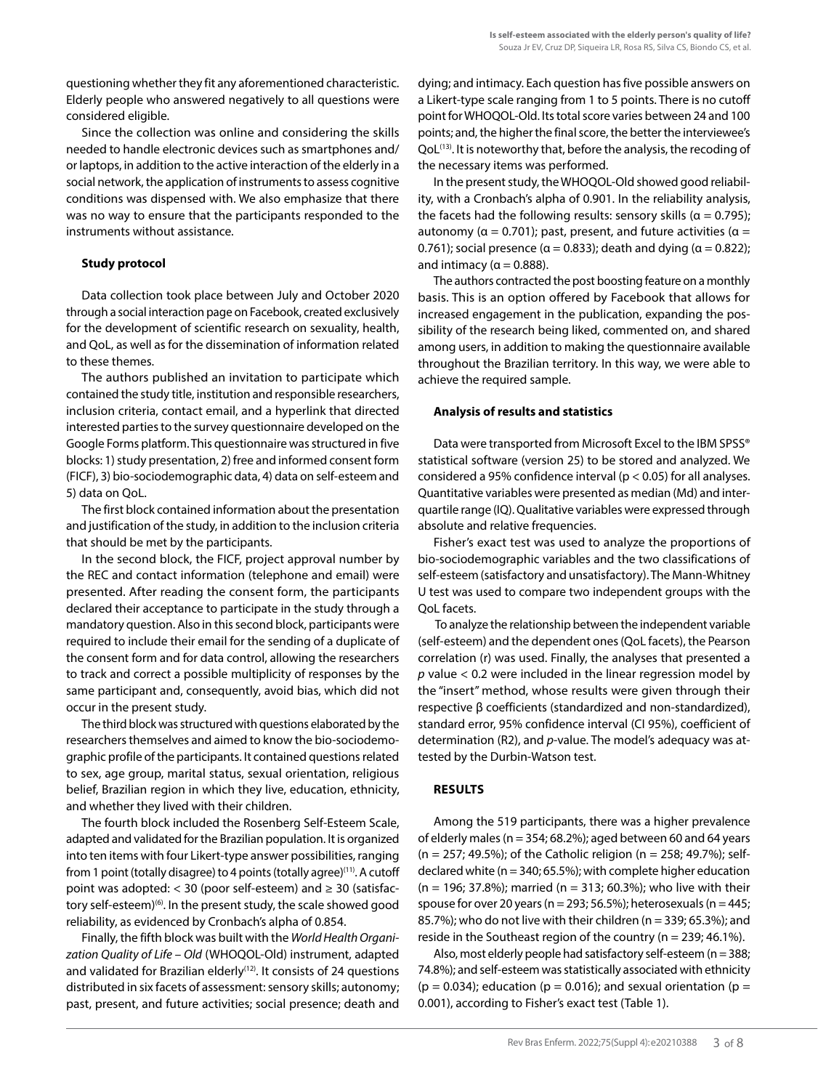questioning whether they fit any aforementioned characteristic. Elderly people who answered negatively to all questions were considered eligible.

Since the collection was online and considering the skills needed to handle electronic devices such as smartphones and/ or laptops, in addition to the active interaction of the elderly in a social network, the application of instruments to assess cognitive conditions was dispensed with. We also emphasize that there was no way to ensure that the participants responded to the instruments without assistance.

## **Study protocol**

Data collection took place between July and October 2020 through a social interaction page on Facebook, created exclusively for the development of scientific research on sexuality, health, and QoL, as well as for the dissemination of information related to these themes.

The authors published an invitation to participate which contained the study title, institution and responsible researchers, inclusion criteria, contact email, and a hyperlink that directed interested parties to the survey questionnaire developed on the Google Forms platform. This questionnaire was structured in five blocks: 1) study presentation, 2) free and informed consent form (FICF), 3) bio-sociodemographic data, 4) data on self-esteem and 5) data on QoL.

The first block contained information about the presentation and justification of the study, in addition to the inclusion criteria that should be met by the participants.

In the second block, the FICF, project approval number by the REC and contact information (telephone and email) were presented. After reading the consent form, the participants declared their acceptance to participate in the study through a mandatory question. Also in this second block, participants were required to include their email for the sending of a duplicate of the consent form and for data control, allowing the researchers to track and correct a possible multiplicity of responses by the same participant and, consequently, avoid bias, which did not occur in the present study.

The third block was structured with questions elaborated by the researchers themselves and aimed to know the bio-sociodemographic profile of the participants. It contained questions related to sex, age group, marital status, sexual orientation, religious belief, Brazilian region in which they live, education, ethnicity, and whether they lived with their children.

The fourth block included the Rosenberg Self-Esteem Scale, adapted and validated for the Brazilian population. It is organized into ten items with four Likert-type answer possibilities, ranging from 1 point (totally disagree) to 4 points (totally agree)<sup>(11)</sup>. A cutoff point was adopted: < 30 (poor self-esteem) and ≥ 30 (satisfactory self-esteem)<sup>(6)</sup>. In the present study, the scale showed good reliability, as evidenced by Cronbach's alpha of 0.854.

Finally, the fifth block was built with the *World Health Organization Quality of Life – Old* (WHOQOL-Old) instrument, adapted and validated for Brazilian elderly<sup>(12)</sup>. It consists of 24 questions distributed in six facets of assessment: sensory skills; autonomy; past, present, and future activities; social presence; death and dying; and intimacy. Each question has five possible answers on a Likert-type scale ranging from 1 to 5 points. There is no cutoff point for WHOQOL-Old. Its total score varies between 24 and 100 points; and, the higher the final score, the better the interviewee's QoL<sup>(13)</sup>. It is noteworthy that, before the analysis, the recoding of the necessary items was performed.

In the present study, the WHOQOL-Old showed good reliability, with a Cronbach's alpha of 0.901. In the reliability analysis, the facets had the following results: sensory skills ( $\alpha = 0.795$ ); autonomy ( $\alpha = 0.701$ ); past, present, and future activities ( $\alpha =$ 0.761); social presence ( $\alpha$  = 0.833); death and dying ( $\alpha$  = 0.822); and intimacy ( $\alpha$  = 0.888).

The authors contracted the post boosting feature on a monthly basis. This is an option offered by Facebook that allows for increased engagement in the publication, expanding the possibility of the research being liked, commented on, and shared among users, in addition to making the questionnaire available throughout the Brazilian territory. In this way, we were able to achieve the required sample.

# **Analysis of results and statistics**

Data were transported from Microsoft Excel to the IBM SPSS® statistical software (version 25) to be stored and analyzed. We considered a 95% confidence interval (p < 0.05) for all analyses. Quantitative variables were presented as median (Md) and interquartile range (IQ). Qualitative variables were expressed through absolute and relative frequencies.

Fisher's exact test was used to analyze the proportions of bio-sociodemographic variables and the two classifications of self-esteem (satisfactory and unsatisfactory). The Mann-Whitney U test was used to compare two independent groups with the QoL facets.

 To analyze the relationship between the independent variable (self-esteem) and the dependent ones (QoL facets), the Pearson correlation (r) was used. Finally, the analyses that presented a *p* value < 0.2 were included in the linear regression model by the "insert" method, whose results were given through their respective β coefficients (standardized and non-standardized), standard error, 95% confidence interval (CI 95%), coefficient of determination (R2), and *p*-value. The model's adequacy was attested by the Durbin-Watson test.

#### **RESULTS**

Among the 519 participants, there was a higher prevalence of elderly males (n = 354; 68.2%); aged between 60 and 64 years (n = 257; 49.5%); of the Catholic religion (n = 258; 49.7%); selfdeclared white ( $n = 340; 65.5\%$ ); with complete higher education  $(n = 196; 37.8\%)$ ; married  $(n = 313; 60.3\%)$ ; who live with their spouse for over 20 years ( $n = 293$ ; 56.5%); heterosexuals ( $n = 445$ ; 85.7%); who do not live with their children ( $n = 339$ ; 65.3%); and reside in the Southeast region of the country ( $n = 239$ ; 46.1%).

Also, most elderly people had satisfactory self-esteem ( $n = 388$ ; 74.8%); and self-esteem was statistically associated with ethnicity  $(p = 0.034)$ ; education  $(p = 0.016)$ ; and sexual orientation  $(p = 0.034)$ 0.001), according to Fisher's exact test (Table 1).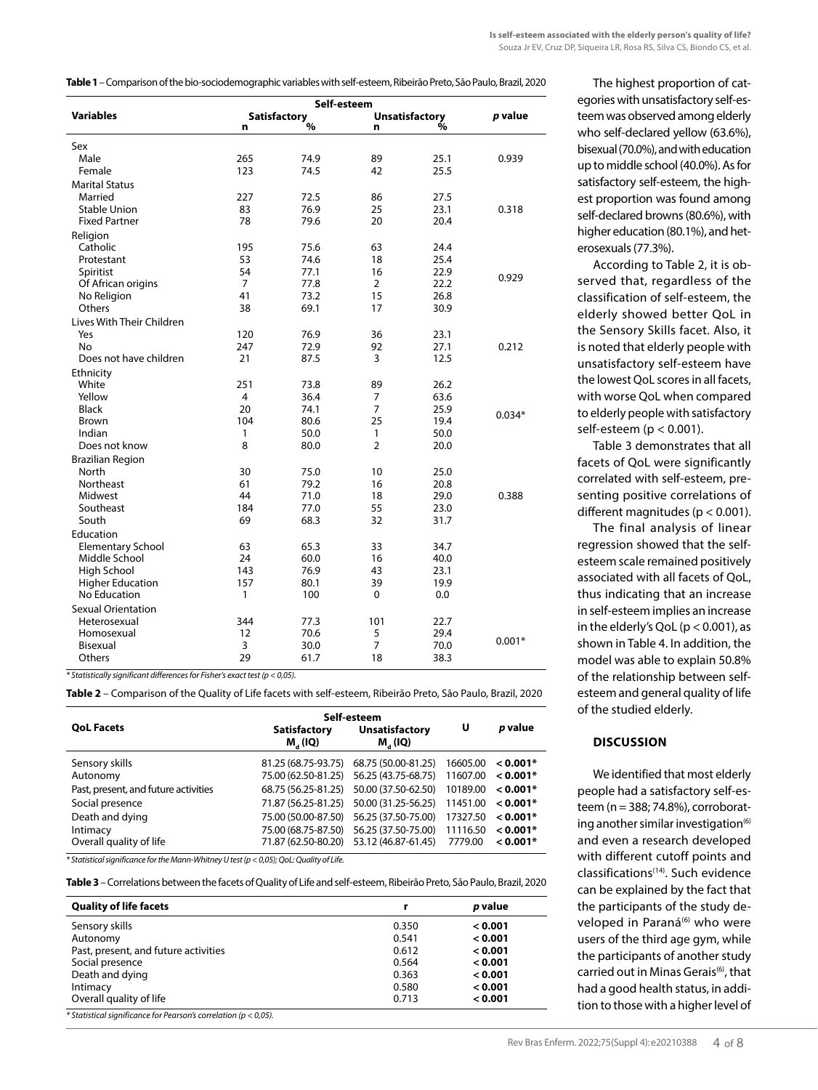**Table 1** – Comparison of the bio-sociodemographic variables with self-esteem, Ribeirão Preto, São Paulo, Brazil, 2020

| <b>Variables</b>          |                | Self-esteem<br>Satisfactory<br>% |                | <b>Unsatisfactory</b> |          |
|---------------------------|----------------|----------------------------------|----------------|-----------------------|----------|
|                           | n              |                                  | n              | %                     |          |
| Sex                       |                |                                  |                |                       |          |
| Male                      | 265            | 74.9                             | 89             | 25.1                  | 0.939    |
| Female                    | 123            | 74.5                             | 42             | 25.5                  |          |
| <b>Marital Status</b>     |                |                                  |                |                       |          |
| Married                   | 227            | 72.5                             | 86             | 27.5                  |          |
| <b>Stable Union</b>       | 83             | 76.9                             | 25             | 23.1                  | 0.318    |
| <b>Fixed Partner</b>      | 78             | 79.6                             | 20             | 20.4                  |          |
| Religion                  |                |                                  |                |                       |          |
| Catholic                  | 195            | 75.6                             | 63             | 24.4                  |          |
| Protestant                | 53             | 74.6                             | 18             | 25.4                  |          |
| Spiritist                 | 54             | 77.1                             | 16             | 22.9                  |          |
| Of African origins        | $\overline{7}$ | 77.8                             | 2              | 22.2                  | 0.929    |
| No Religion               | 41             | 73.2                             | 15             | 26.8                  |          |
| Others                    | 38             | 69.1                             | 17             | 30.9                  |          |
| Lives With Their Children |                |                                  |                |                       |          |
| Yes                       | 120            | 76.9                             | 36             | 23.1                  |          |
| No                        | 247            | 72.9                             | 92             | 27.1                  | 0.212    |
| Does not have children    | 21             | 87.5                             | 3              | 12.5                  |          |
| Ethnicity                 |                |                                  |                |                       |          |
| White                     | 251            | 73.8                             | 89             | 26.2                  |          |
| Yellow                    | 4              | 36.4                             | 7              | 63.6                  |          |
| <b>Black</b>              | 20             | 74.1                             | $\overline{7}$ | 25.9                  |          |
| <b>Brown</b>              | 104            | 80.6                             | 25             | 19.4                  | $0.034*$ |
| Indian                    | 1              | 50.0                             | 1              | 50.0                  |          |
| Does not know             | 8              | 80.0                             | $\overline{2}$ | 20.0                  |          |
| <b>Brazilian Region</b>   |                |                                  |                |                       |          |
| North                     | 30             | 75.0                             | 10             | 25.0                  |          |
| <b>Northeast</b>          | 61             | 79.2                             | 16             | 20.8                  |          |
| Midwest                   | 44             | 71.0                             | 18             | 29.0                  | 0.388    |
| Southeast                 | 184            | 77.0                             | 55             | 23.0                  |          |
| South                     | 69             | 68.3                             | 32             | 31.7                  |          |
| Education                 |                |                                  |                |                       |          |
| <b>Elementary School</b>  | 63             | 65.3                             | 33             | 34.7                  |          |
| Middle School             | 24             | 60.0                             | 16             | 40.0                  |          |
| High School               | 143            | 76.9                             | 43             | 23.1                  |          |
| <b>Higher Education</b>   | 157            | 80.1                             | 39             | 19.9                  |          |
| No Education              | 1              | 100                              | 0              | 0.0                   |          |
| <b>Sexual Orientation</b> |                |                                  |                |                       |          |
| Heterosexual              | 344            | 77.3                             | 101            | 22.7                  |          |
| Homosexual                | 12             | 70.6                             | 5              | 29.4                  |          |
| Bisexual                  | 3              | 30.0                             | $\overline{7}$ | 70.0                  | $0.001*$ |
| Others                    | 29             | 61.7                             | 18             | 38.3                  |          |
|                           |                |                                  |                |                       |          |

*\* Statistically significant differences for Fisher's exact test (p < 0,05).*

**Table 2** – Comparison of the Quality of Life facets with self-esteem, Ribeirão Preto, São Paulo, Brazil, 2020

|                                      | Self-esteem                                |                                              |          |            |  |
|--------------------------------------|--------------------------------------------|----------------------------------------------|----------|------------|--|
| <b>OoL Facets</b>                    | <b>Satisfactory</b><br>M <sub>a</sub> (IQ) | <b>Unsatisfactory</b><br>M <sub>a</sub> (IQ) | U        | p value    |  |
| Sensory skills                       | 81.25 (68.75-93.75)                        | 68.75 (50.00-81.25)                          | 16605.00 | $0.001*$   |  |
| Autonomy                             | 75.00 (62.50-81.25)                        | 56.25 (43.75-68.75)                          | 11607.00 | $< 0.001*$ |  |
| Past, present, and future activities | 68.75 (56.25-81.25)                        | 50.00 (37.50-62.50)                          | 10189.00 | $< 0.001*$ |  |
| Social presence                      | 71.87 (56.25-81.25)                        | 50.00 (31.25-56.25)                          | 11451.00 | $0.001*$   |  |
| Death and dying                      | 75.00 (50.00-87.50)                        | 56.25 (37.50-75.00)                          | 17327.50 | $< 0.001*$ |  |
| Intimacy                             | 75.00 (68.75-87.50)                        | 56.25 (37.50-75.00)                          | 11116.50 | $< 0.001*$ |  |
| Overall quality of life              | 71.87 (62.50-80.20)                        | 53.12 (46.87-61.45)                          | 7779.00  | $0.001*$   |  |

*\* Statistical significance for the Mann-Whitney U test (p < 0,05); QoL: Quality of Life.*

**Table 3** – Correlations between the facets of Quality of Life and self-esteem, Ribeirão Preto, São Paulo, Brazil, 2020

| <b>Quality of life facets</b>        | r     | p value |
|--------------------------------------|-------|---------|
| Sensory skills                       | 0.350 | 0.001   |
| Autonomy                             | 0.541 | 0.001   |
| Past, present, and future activities | 0.612 | 0.001   |
| Social presence                      | 0.564 | 0.001   |
| Death and dying                      | 0.363 | 0.001   |
| Intimacy                             | 0.580 | < 0.001 |
| Overall quality of life              | 0.713 | < 0.001 |

The highest proportion of categories with unsatisfactory self-esteem was observed among elderly who self-declared yellow (63.6%), bisexual (70.0%), and with education up to middle school (40.0%). As for satisfactory self-esteem, the highest proportion was found among self-declared browns (80.6%), with higher education (80.1%), and heterosexuals (77.3%).

According to Table 2, it is observed that, regardless of the classification of self-esteem, the elderly showed better QoL in the Sensory Skills facet. Also, it is noted that elderly people with unsatisfactory self-esteem have the lowest QoL scores in all facets, with worse QoL when compared to elderly people with satisfactory self-esteem (p < 0.001).

Table 3 demonstrates that all facets of QoL were significantly correlated with self-esteem, presenting positive correlations of different magnitudes (p < 0.001).

The final analysis of linear regression showed that the selfesteem scale remained positively associated with all facets of QoL, thus indicating that an increase in self-esteem implies an increase in the elderly's QoL ( $p < 0.001$ ), as shown in Table 4. In addition, the model was able to explain 50.8% of the relationship between selfesteem and general quality of life of the studied elderly.

#### **DISCUSSION**

We identified that most elderly people had a satisfactory self-esteem (n = 388; 74.8%), corroborating another similar investigation $(6)$ and even a research developed with different cutoff points and classifications(14). Such evidence can be explained by the fact that the participants of the study developed in Paraná<sup>(6)</sup> who were users of the third age gym, while the participants of another study carried out in Minas Gerais<sup>(6)</sup>, that had a good health status, in addition to those with a higher level of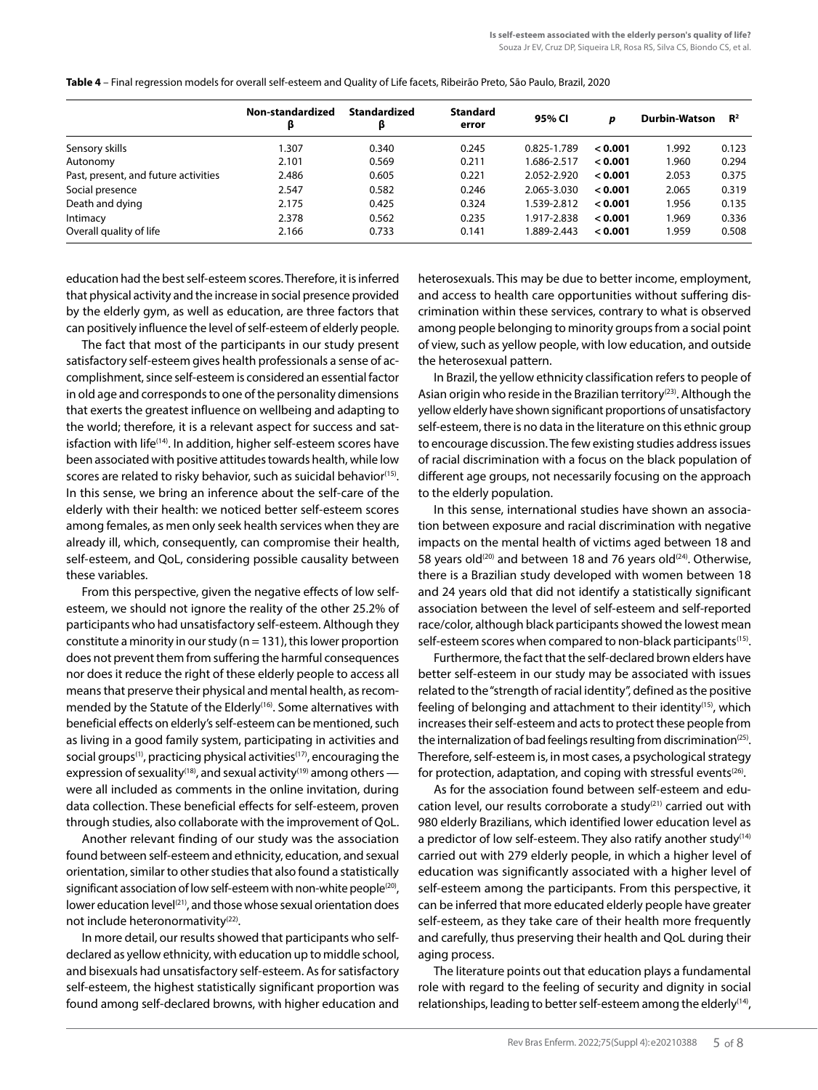|                                      | Non-standardized<br>β | <b>Standardized</b><br>β | <b>Standard</b><br>error | 95% CI      | p       | <b>Durbin-Watson</b> | $\mathbb{R}^2$ |
|--------------------------------------|-----------------------|--------------------------|--------------------------|-------------|---------|----------------------|----------------|
| Sensory skills                       | 1.307                 | 0.340                    | 0.245                    | 0.825-1.789 | 0.001   | 1.992                | 0.123          |
| Autonomy                             | 2.101                 | 0.569                    | 0.211                    | 1.686-2.517 | < 0.001 | 1.960                | 0.294          |
| Past, present, and future activities | 2.486                 | 0.605                    | 0.221                    | 2.052-2.920 | < 0.001 | 2.053                | 0.375          |
| Social presence                      | 2.547                 | 0.582                    | 0.246                    | 2.065-3.030 | < 0.001 | 2.065                | 0.319          |
| Death and dying                      | 2.175                 | 0.425                    | 0.324                    | 1.539-2.812 | 0.001   | 1.956                | 0.135          |
| Intimacy                             | 2.378                 | 0.562                    | 0.235                    | 1.917-2.838 | 0.001   | 1.969                | 0.336          |
| Overall quality of life              | 2.166                 | 0.733                    | 0.141                    | 1.889-2.443 | < 0.001 | 1.959                | 0.508          |

**Table 4** – Final regression models for overall self-esteem and Quality of Life facets, Ribeirão Preto, São Paulo, Brazil, 2020

education had the best self-esteem scores. Therefore, it is inferred that physical activity and the increase in social presence provided by the elderly gym, as well as education, are three factors that can positively influence the level of self-esteem of elderly people.

The fact that most of the participants in our study present satisfactory self-esteem gives health professionals a sense of accomplishment, since self-esteem is considered an essential factor in old age and corresponds to one of the personality dimensions that exerts the greatest influence on wellbeing and adapting to the world; therefore, it is a relevant aspect for success and satisfaction with life<sup>(14)</sup>. In addition, higher self-esteem scores have been associated with positive attitudes towards health, while low scores are related to risky behavior, such as suicidal behavior<sup>(15)</sup>. In this sense, we bring an inference about the self-care of the elderly with their health: we noticed better self-esteem scores among females, as men only seek health services when they are already ill, which, consequently, can compromise their health, self-esteem, and QoL, considering possible causality between these variables.

From this perspective, given the negative effects of low selfesteem, we should not ignore the reality of the other 25.2% of participants who had unsatisfactory self-esteem. Although they constitute a minority in our study ( $n = 131$ ), this lower proportion does not prevent them from suffering the harmful consequences nor does it reduce the right of these elderly people to access all means that preserve their physical and mental health, as recommended by the Statute of the Elderly<sup>(16)</sup>. Some alternatives with beneficial effects on elderly's self-esteem can be mentioned, such as living in a good family system, participating in activities and social groups<sup>(1)</sup>, practicing physical activities<sup>(17)</sup>, encouraging the expression of sexuality<sup>(18)</sup>, and sexual activity<sup>(19)</sup> among others  $$ were all included as comments in the online invitation, during data collection. These beneficial effects for self-esteem, proven through studies, also collaborate with the improvement of QoL.

Another relevant finding of our study was the association found between self-esteem and ethnicity, education, and sexual orientation, similar to other studies that also found a statistically significant association of low self-esteem with non-white people<sup>(20)</sup>, lower education level<sup>(21)</sup>, and those whose sexual orientation does not include heteronormativity<sup>(22)</sup>.

In more detail, our results showed that participants who selfdeclared as yellow ethnicity, with education up to middle school, and bisexuals had unsatisfactory self-esteem. As for satisfactory self-esteem, the highest statistically significant proportion was found among self-declared browns, with higher education and heterosexuals. This may be due to better income, employment, and access to health care opportunities without suffering discrimination within these services, contrary to what is observed among people belonging to minority groups from a social point of view, such as yellow people, with low education, and outside the heterosexual pattern.

In Brazil, the yellow ethnicity classification refers to people of Asian origin who reside in the Brazilian territory<sup>(23)</sup>. Although the yellow elderly have shown significant proportions of unsatisfactory self-esteem, there is no data in the literature on this ethnic group to encourage discussion. The few existing studies address issues of racial discrimination with a focus on the black population of different age groups, not necessarily focusing on the approach to the elderly population.

In this sense, international studies have shown an association between exposure and racial discrimination with negative impacts on the mental health of victims aged between 18 and 58 years old<sup>(20)</sup> and between 18 and 76 years old<sup>(24)</sup>. Otherwise, there is a Brazilian study developed with women between 18 and 24 years old that did not identify a statistically significant association between the level of self-esteem and self-reported race/color, although black participants showed the lowest mean self-esteem scores when compared to non-black participants<sup>(15)</sup>.

Furthermore, the fact that the self-declared brown elders have better self-esteem in our study may be associated with issues related to the "strength of racial identity", defined as the positive feeling of belonging and attachment to their identity<sup> $(15)$ </sup>, which increases their self-esteem and acts to protect these people from the internalization of bad feelings resulting from discrimination<sup>(25)</sup>. Therefore, self-esteem is, in most cases, a psychological strategy for protection, adaptation, and coping with stressful events $(26)$ .

As for the association found between self-esteem and education level, our results corroborate a study<sup>(21)</sup> carried out with 980 elderly Brazilians, which identified lower education level as a predictor of low self-esteem. They also ratify another study<sup>(14)</sup> carried out with 279 elderly people, in which a higher level of education was significantly associated with a higher level of self-esteem among the participants. From this perspective, it can be inferred that more educated elderly people have greater self-esteem, as they take care of their health more frequently and carefully, thus preserving their health and QoL during their aging process.

The literature points out that education plays a fundamental role with regard to the feeling of security and dignity in social relationships, leading to better self-esteem among the elderly<sup>(14)</sup>,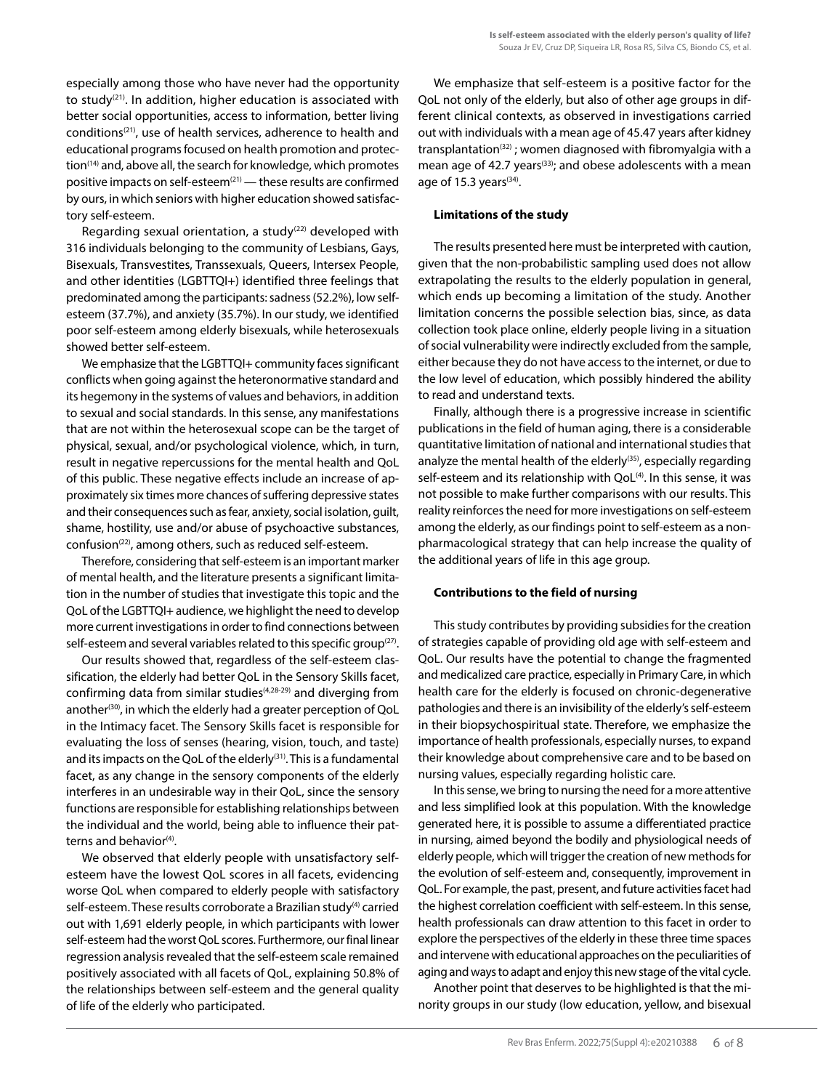especially among those who have never had the opportunity to study<sup>(21)</sup>. In addition, higher education is associated with better social opportunities, access to information, better living conditions<sup>(21)</sup>, use of health services, adherence to health and educational programs focused on health promotion and protection(14) and, above all, the search for knowledge, which promotes positive impacts on self-esteem $(21)$  — these results are confirmed by ours, in which seniors with higher education showed satisfactory self-esteem.

Regarding sexual orientation, a study<sup>(22)</sup> developed with 316 individuals belonging to the community of Lesbians, Gays, Bisexuals, Transvestites, Transsexuals, Queers, Intersex People, and other identities (LGBTTQI+) identified three feelings that predominated among the participants: sadness (52.2%), low selfesteem (37.7%), and anxiety (35.7%). In our study, we identified poor self-esteem among elderly bisexuals, while heterosexuals showed better self-esteem.

We emphasize that the LGBTTQI+ community faces significant conflicts when going against the heteronormative standard and its hegemony in the systems of values and behaviors, in addition to sexual and social standards. In this sense, any manifestations that are not within the heterosexual scope can be the target of physical, sexual, and/or psychological violence, which, in turn, result in negative repercussions for the mental health and QoL of this public. These negative effects include an increase of approximately six times more chances of suffering depressive states and their consequences such as fear, anxiety, social isolation, guilt, shame, hostility, use and/or abuse of psychoactive substances, confusion(22), among others, such as reduced self-esteem.

Therefore, considering that self-esteem is an important marker of mental health, and the literature presents a significant limitation in the number of studies that investigate this topic and the QoL of the LGBTTQI+ audience, we highlight the need to develop more current investigations in order to find connections between self-esteem and several variables related to this specific group<sup>(27)</sup>.

Our results showed that, regardless of the self-esteem classification, the elderly had better QoL in the Sensory Skills facet, confirming data from similar studies<sup>(4,28-29)</sup> and diverging from another<sup>(30)</sup>, in which the elderly had a greater perception of QoL in the Intimacy facet. The Sensory Skills facet is responsible for evaluating the loss of senses (hearing, vision, touch, and taste) and its impacts on the QoL of the elderly<sup>(31)</sup>. This is a fundamental facet, as any change in the sensory components of the elderly interferes in an undesirable way in their QoL, since the sensory functions are responsible for establishing relationships between the individual and the world, being able to influence their patterns and behavior $(4)$ .

We observed that elderly people with unsatisfactory selfesteem have the lowest QoL scores in all facets, evidencing worse QoL when compared to elderly people with satisfactory self-esteem. These results corroborate a Brazilian study<sup>(4)</sup> carried out with 1,691 elderly people, in which participants with lower self-esteem had the worst QoL scores. Furthermore, our final linear regression analysis revealed that the self-esteem scale remained positively associated with all facets of QoL, explaining 50.8% of the relationships between self-esteem and the general quality of life of the elderly who participated.

We emphasize that self-esteem is a positive factor for the QoL not only of the elderly, but also of other age groups in different clinical contexts, as observed in investigations carried out with individuals with a mean age of 45.47 years after kidney transplantation<sup>(32)</sup>; women diagnosed with fibromyalgia with a mean age of 42.7 years<sup>(33)</sup>; and obese adolescents with a mean age of 15.3 years $(34)$ .

#### **Limitations of the study**

The results presented here must be interpreted with caution, given that the non-probabilistic sampling used does not allow extrapolating the results to the elderly population in general, which ends up becoming a limitation of the study. Another limitation concerns the possible selection bias, since, as data collection took place online, elderly people living in a situation of social vulnerability were indirectly excluded from the sample, either because they do not have access to the internet, or due to the low level of education, which possibly hindered the ability to read and understand texts.

Finally, although there is a progressive increase in scientific publications in the field of human aging, there is a considerable quantitative limitation of national and international studies that analyze the mental health of the elderly<sup>(35)</sup>, especially regarding self-esteem and its relationship with QoL<sup>(4)</sup>. In this sense, it was not possible to make further comparisons with our results. This reality reinforces the need for more investigations on self-esteem among the elderly, as our findings point to self-esteem as a nonpharmacological strategy that can help increase the quality of the additional years of life in this age group.

#### **Contributions to the field of nursing**

This study contributes by providing subsidies for the creation of strategies capable of providing old age with self-esteem and QoL. Our results have the potential to change the fragmented and medicalized care practice, especially in Primary Care, in which health care for the elderly is focused on chronic-degenerative pathologies and there is an invisibility of the elderly's self-esteem in their biopsychospiritual state. Therefore, we emphasize the importance of health professionals, especially nurses, to expand their knowledge about comprehensive care and to be based on nursing values, especially regarding holistic care.

In this sense, we bring to nursing the need for a more attentive and less simplified look at this population. With the knowledge generated here, it is possible to assume a differentiated practice in nursing, aimed beyond the bodily and physiological needs of elderly people, which will trigger the creation of new methods for the evolution of self-esteem and, consequently, improvement in QoL. For example, the past, present, and future activities facet had the highest correlation coefficient with self-esteem. In this sense, health professionals can draw attention to this facet in order to explore the perspectives of the elderly in these three time spaces and intervene with educational approaches on the peculiarities of aging and ways to adapt and enjoy this new stage of the vital cycle.

Another point that deserves to be highlighted is that the minority groups in our study (low education, yellow, and bisexual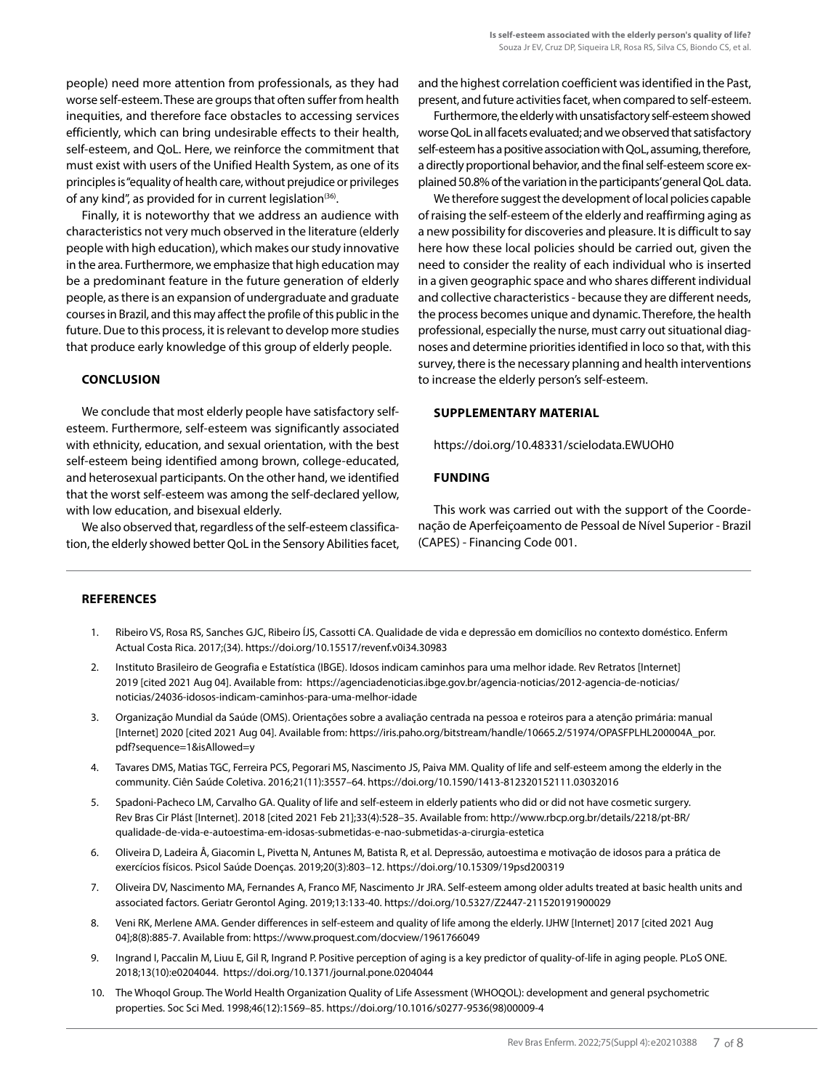people) need more attention from professionals, as they had worse self-esteem. These are groups that often suffer from health inequities, and therefore face obstacles to accessing services efficiently, which can bring undesirable effects to their health, self-esteem, and QoL. Here, we reinforce the commitment that must exist with users of the Unified Health System, as one of its principles is "equality of health care, without prejudice or privileges of any kind", as provided for in current legislation<sup>(36)</sup>.

Finally, it is noteworthy that we address an audience with characteristics not very much observed in the literature (elderly people with high education), which makes our study innovative in the area. Furthermore, we emphasize that high education may be a predominant feature in the future generation of elderly people, as there is an expansion of undergraduate and graduate courses in Brazil, and this may affect the profile of this public in the future. Due to this process, it is relevant to develop more studies that produce early knowledge of this group of elderly people.

# **CONCLUSION**

We conclude that most elderly people have satisfactory selfesteem. Furthermore, self-esteem was significantly associated with ethnicity, education, and sexual orientation, with the best self-esteem being identified among brown, college-educated, and heterosexual participants. On the other hand, we identified that the worst self-esteem was among the self-declared yellow, with low education, and bisexual elderly.

We also observed that, regardless of the self-esteem classification, the elderly showed better QoL in the Sensory Abilities facet, and the highest correlation coefficient was identified in the Past, present, and future activities facet, when compared to self-esteem.

Furthermore, the elderly with unsatisfactory self-esteem showed worse QoL in all facets evaluated; and we observed that satisfactory self-esteem has a positive association with QoL, assuming, therefore, a directly proportional behavior, and the final self-esteem score explained 50.8% of the variation in the participants' general QoL data.

We therefore suggest the development of local policies capable of raising the self-esteem of the elderly and reaffirming aging as a new possibility for discoveries and pleasure. It is difficult to say here how these local policies should be carried out, given the need to consider the reality of each individual who is inserted in a given geographic space and who shares different individual and collective characteristics - because they are different needs, the process becomes unique and dynamic. Therefore, the health professional, especially the nurse, must carry out situational diagnoses and determine priorities identified in loco so that, with this survey, there is the necessary planning and health interventions to increase the elderly person's self-esteem.

# **SUPPLEMENTARY MATERIAL**

[https://doi.org/10.48331/scielodata.EWUOH0](https://doi.org/10.48331/scielodata.QJT3ED) 

## **FUNDING**

This work was carried out with the support of the Coordenação de Aperfeiçoamento de Pessoal de Nível Superior - Brazil (CAPES) - Financing Code 001.

#### **REFERENCES**

- 1. Ribeiro VS, Rosa RS, Sanches GJC, Ribeiro ÍJS, Cassotti CA. Qualidade de vida e depressão em domicílios no contexto doméstico. Enferm Actual Costa Rica. 2017;(34). https://doi.org/10.15517/revenf.v0i34.30983
- 2. Instituto Brasileiro de Geografia e Estatística (IBGE). Idosos indicam caminhos para uma melhor idade. Rev Retratos [Internet] 2019 [cited 2021 Aug 04]. Available from: https://agenciadenoticias.ibge.gov.br/agencia-noticias/2012-agencia-de-noticias/ noticias/24036-idosos-indicam-caminhos-para-uma-melhor-idade
- 3. Organização Mundial da Saúde (OMS). Orientações sobre a avaliação centrada na pessoa e roteiros para a atenção primária: manual [Internet] 2020 [cited 2021 Aug 04]. Available from: https://iris.paho.org/bitstream/handle/10665.2/51974/OPASFPLHL200004A\_por. pdf?sequence=1&isAllowed=y
- 4. Tavares DMS, Matias TGC, Ferreira PCS, Pegorari MS, Nascimento JS, Paiva MM. Quality of life and self-esteem among the elderly in the community. Ciên Saúde Coletiva. 2016;21(11):3557–64. https://doi.org/10.1590/1413-812320152111.03032016
- 5. Spadoni-Pacheco LM, Carvalho GA. Quality of life and self-esteem in elderly patients who did or did not have cosmetic surgery. Rev Bras Cir Plást [Internet]. 2018 [cited 2021 Feb 21];33(4):528–35. Available from: http://www.rbcp.org.br/details/2218/pt-BR/ qualidade-de-vida-e-autoestima-em-idosas-submetidas-e-nao-submetidas-a-cirurgia-estetica
- 6. Oliveira D, Ladeira Â, Giacomin L, Pivetta N, Antunes M, Batista R, et al. Depressão, autoestima e motivação de idosos para a prática de exercícios físicos. Psicol Saúde Doenças. 2019;20(3):803–12. https://doi.org/10.15309/19psd200319
- 7. Oliveira DV, Nascimento MA, Fernandes A, Franco MF, Nascimento Jr JRA. Self-esteem among older adults treated at basic health units and associated factors. Geriatr Gerontol Aging. 2019;13:133-40. https://doi.org/10.5327/Z2447-211520191900029
- 8. Veni RK, Merlene AMA. Gender differences in self-esteem and quality of life among the elderly. IJHW [Internet] 2017 [cited 2021 Aug 04];8(8):885-7. Available from: https://www.proquest.com/docview/1961766049
- 9. Ingrand I, Paccalin M, Liuu E, Gil R, Ingrand P. Positive perception of aging is a key predictor of quality-of-life in aging people. PLoS ONE. 2018;13(10):e0204044. https://doi.org/10.1371/journal.pone.0204044
- 10. The Whoqol Group. The World Health Organization Quality of Life Assessment (WHOQOL): development and general psychometric properties. Soc Sci Med. 1998;46(12):1569–85. https://doi.org/10.1016/s0277-9536(98)00009-4